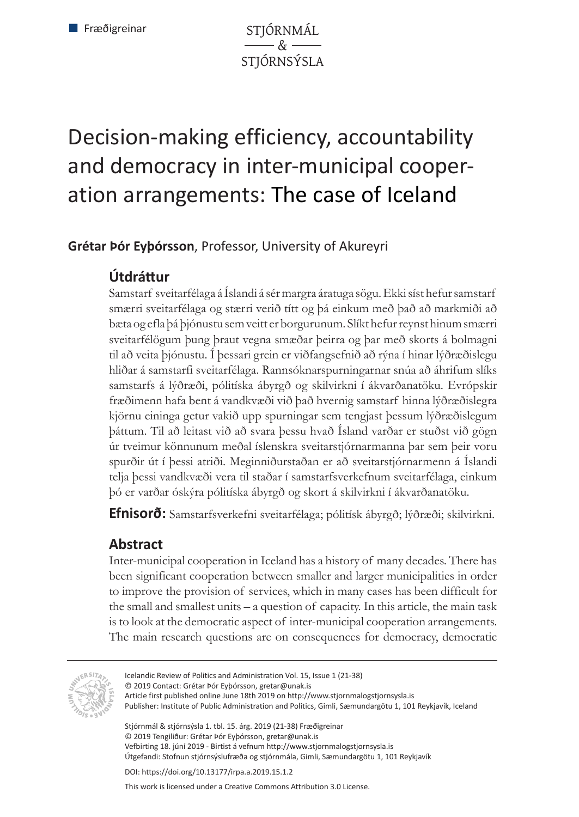STJÓRNMÁL  $\overline{\mathscr{L}}$ STJÓRNSÝSLA

# Decision-making efficiency, accountability and democracy in inter-municipal cooperation arrangements: The case of Iceland

### **Grétar Þór Eyþórsson**, Professor, University of Akureyri

## **Útdráttur**

Samstarf sveitarfélaga á Íslandi á sér margra áratuga sögu. Ekki síst hefur samstarf smærri sveitarfélaga og stærri verið títt og þá einkum með það að markmiði að bæta og efla þá þjónustu sem veitt er borgurunum. Slíkt hefur reynst hinum smærri sveitarfélögum þung þraut vegna smæðar þeirra og þar með skorts á bolmagni til að veita þjónustu. Í þessari grein er viðfangsefnið að rýna í hinar lýðræðislegu hliðar á samstarfi sveitarfélaga. Rannsóknarspurningarnar snúa að áhrifum slíks samstarfs á lýðræði, pólitíska ábyrgð og skilvirkni í ákvarðanatöku. Evrópskir fræðimenn hafa bent á vandkvæði við það hvernig samstarf hinna lýðræðislegra kjörnu eininga getur vakið upp spurningar sem tengjast þessum lýðræðislegum þáttum. Til að leitast við að svara þessu hvað Ísland varðar er stuðst við gögn úr tveimur könnunum meðal íslenskra sveitarstjórnarmanna þar sem þeir voru spurðir út í þessi atriði. Meginniðurstaðan er að sveitarstjórnarmenn á Íslandi telja þessi vandkvæði vera til staðar í samstarfsverkefnum sveitarfélaga, einkum þó er varðar óskýra pólitíska ábyrgð og skort á skilvirkni í ákvarðanatöku.

**Efnisorð:** Samstarfsverkefni sveitarfélaga; pólitísk ábyrgð; lýðræði; skilvirkni.

## **Abstract**

Inter-municipal cooperation in Iceland has a history of many decades. There has been significant cooperation between smaller and larger municipalities in order to improve the provision of services, which in many cases has been difficult for the small and smallest units – a question of capacity. In this article, the main task is to look at the democratic aspect of inter-municipal cooperation arrangements. The main research questions are on consequences for democracy, democratic



Icelandic Review of Politics and Administration Vol. 15, Issue 1 (21-38)

Publisher: Institute of Public Administration and Politics, Gimli, Sæmundargötu 1, 101 Reykjavík, Iceland

Stjórnmál & stjórnsýsla 1. tbl. 15. árg. 2019 (21-38) Fræðigreinar © 2019 Tengiliður: Grétar Þór Eyþórsson, gretar@unak.is Vefbirting 18. júní 2019 - Birtist á vefnum http://www.stjornmalogstjornsysla.is Útgefandi: Stofnun stjórnsýslufræða og stjórnmála, Gimli, Sæmundargötu 1, 101 Reykjavík

DOI: https://doi.org/10.13177/irpa.a.2019.15.1.2

This work is licensed under a Creative Commons Attribution 3.0 License.

<sup>© 2019</sup> Contact: Grétar Þór Eyþórsson, gretar@unak.is

Article first published online June 18th 2019 on http://www.stjornmalogstjornsysla.is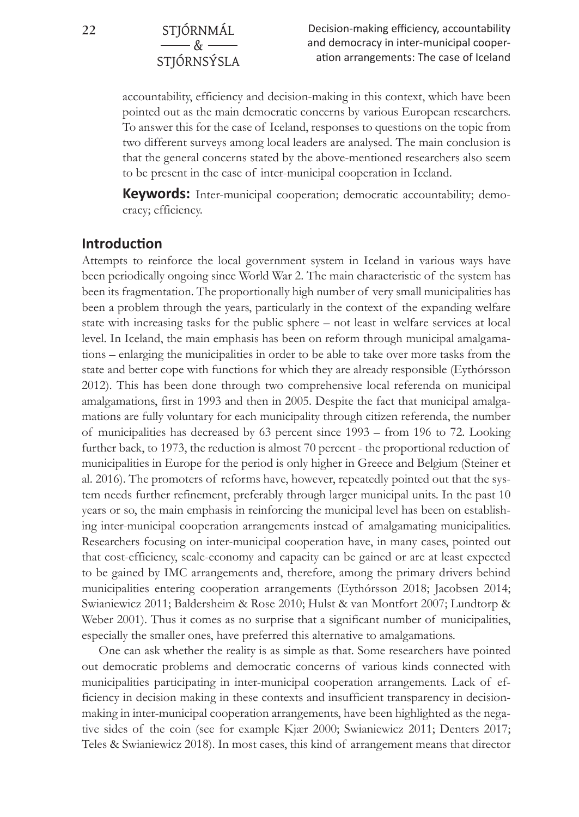**22** STJÓRNMÁL

 $-8$ STJÓRNSÝSLA

Decision-making efficiency, accountability and democracy in inter-municipal cooperation arrangements: The case of Iceland

accountability, efficiency and decision-making in this context, which have been pointed out as the main democratic concerns by various European researchers. To answer this for the case of Iceland, responses to questions on the topic from two different surveys among local leaders are analysed. The main conclusion is that the general concerns stated by the above-mentioned researchers also seem to be present in the case of inter-municipal cooperation in Iceland.

**Keywords:** Inter-municipal cooperation; democratic accountability; democracy; efficiency.

#### **Introduction**

Attempts to reinforce the local government system in Iceland in various ways have been periodically ongoing since World War 2. The main characteristic of the system has been its fragmentation. The proportionally high number of very small municipalities has been a problem through the years, particularly in the context of the expanding welfare state with increasing tasks for the public sphere – not least in welfare services at local level. In Iceland, the main emphasis has been on reform through municipal amalgamations – enlarging the municipalities in order to be able to take over more tasks from the state and better cope with functions for which they are already responsible (Eythórsson 2012). This has been done through two comprehensive local referenda on municipal amalgamations, first in 1993 and then in 2005. Despite the fact that municipal amalgamations are fully voluntary for each municipality through citizen referenda, the number of municipalities has decreased by 63 percent since 1993 – from 196 to 72. Looking further back, to 1973, the reduction is almost 70 percent - the proportional reduction of municipalities in Europe for the period is only higher in Greece and Belgium (Steiner et al. 2016). The promoters of reforms have, however, repeatedly pointed out that the system needs further refinement, preferably through larger municipal units. In the past 10 years or so, the main emphasis in reinforcing the municipal level has been on establishing inter-municipal cooperation arrangements instead of amalgamating municipalities. Researchers focusing on inter-municipal cooperation have, in many cases, pointed out that cost-efficiency, scale-economy and capacity can be gained or are at least expected to be gained by IMC arrangements and, therefore, among the primary drivers behind municipalities entering cooperation arrangements (Eythórsson 2018; Jacobsen 2014; Swianiewicz 2011; Baldersheim & Rose 2010; Hulst & van Montfort 2007; Lundtorp & Weber 2001). Thus it comes as no surprise that a significant number of municipalities, especially the smaller ones, have preferred this alternative to amalgamations.

One can ask whether the reality is as simple as that. Some researchers have pointed out democratic problems and democratic concerns of various kinds connected with municipalities participating in inter-municipal cooperation arrangements. Lack of efficiency in decision making in these contexts and insufficient transparency in decisionmaking in inter-municipal cooperation arrangements, have been highlighted as the negative sides of the coin (see for example Kjær 2000; Swianiewicz 2011; Denters 2017; Teles & Swianiewicz 2018). In most cases, this kind of arrangement means that director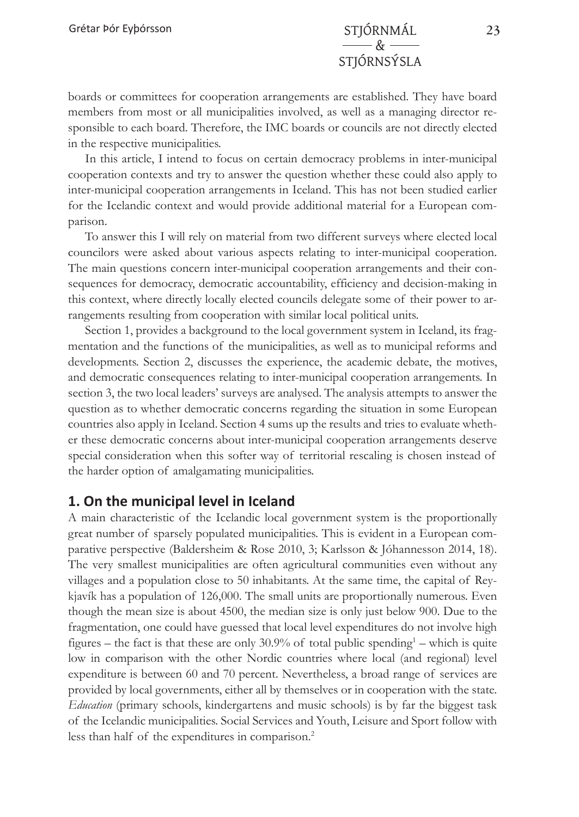boards or committees for cooperation arrangements are established. They have board members from most or all municipalities involved, as well as a managing director responsible to each board. Therefore, the IMC boards or councils are not directly elected in the respective municipalities.

In this article, I intend to focus on certain democracy problems in inter-municipal cooperation contexts and try to answer the question whether these could also apply to inter-municipal cooperation arrangements in Iceland. This has not been studied earlier for the Icelandic context and would provide additional material for a European comparison.

To answer this I will rely on material from two different surveys where elected local councilors were asked about various aspects relating to inter-municipal cooperation. The main questions concern inter-municipal cooperation arrangements and their consequences for democracy, democratic accountability, efficiency and decision-making in this context, where directly locally elected councils delegate some of their power to arrangements resulting from cooperation with similar local political units.

Section 1, provides a background to the local government system in Iceland, its fragmentation and the functions of the municipalities, as well as to municipal reforms and developments. Section 2, discusses the experience, the academic debate, the motives, and democratic consequences relating to inter-municipal cooperation arrangements. In section 3, the two local leaders' surveys are analysed. The analysis attempts to answer the question as to whether democratic concerns regarding the situation in some European countries also apply in Iceland. Section 4 sums up the results and tries to evaluate whether these democratic concerns about inter-municipal cooperation arrangements deserve special consideration when this softer way of territorial rescaling is chosen instead of the harder option of amalgamating municipalities.

### **1. On the municipal level in Iceland**

A main characteristic of the Icelandic local government system is the proportionally great number of sparsely populated municipalities. This is evident in a European comparative perspective (Baldersheim & Rose 2010, 3; Karlsson & Jóhannesson 2014, 18). The very smallest municipalities are often agricultural communities even without any villages and a population close to 50 inhabitants. At the same time, the capital of Reykjavík has a population of 126,000. The small units are proportionally numerous. Even though the mean size is about 4500, the median size is only just below 900. Due to the fragmentation, one could have guessed that local level expenditures do not involve high figures – the fact is that these are only  $30.9\%$  of total public spending<sup>1</sup> – which is quite low in comparison with the other Nordic countries where local (and regional) level expenditure is between 60 and 70 percent. Nevertheless, a broad range of services are provided by local governments, either all by themselves or in cooperation with the state. *Education* (primary schools, kindergartens and music schools) is by far the biggest task of the Icelandic municipalities. Social Services and Youth, Leisure and Sport follow with less than half of the expenditures in comparison.<sup>2</sup>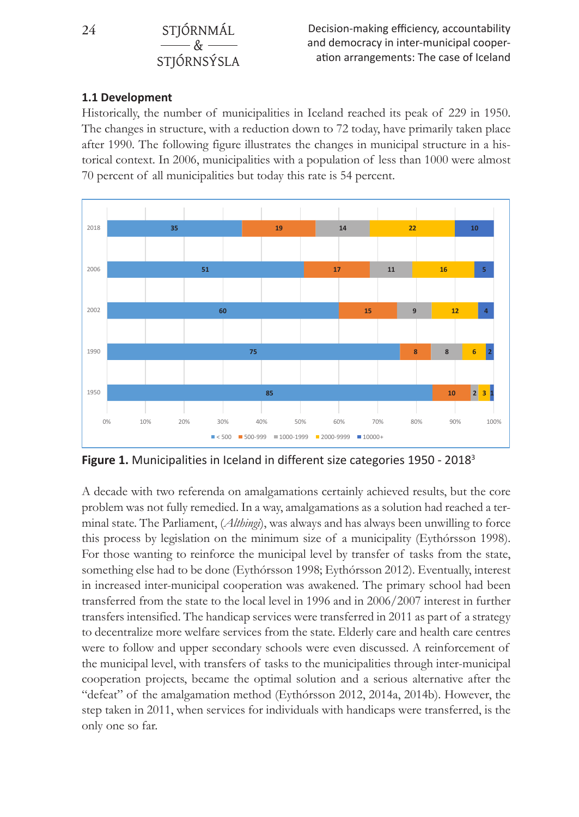### **24** STJÓRNMÁL  $\&$ STJÓRNSÝSLA

#### **1.1 Development**

Historically, the number of municipalities in Iceland reached its peak of 229 in 1950. The changes in structure, with a reduction down to  $72$  today, have primarily taken place after 1990. The following figure illustrates the changes in municipal structure in a historical context. In 2006, municipalities with a population of less than 1000 were almost 70 percent of all municipalities but today this rate is 54 percent. of all municipalities but today this rate is 54 percent. **Historical municipalities in Iceland reached its peak of 229 in Iceland reached its peak of 229 in 1950.** The 229 in 1950 in 1950. The 229 in 1950 in 1950. The 229 in 1950. The 229 in 1950 in 1950. The 229 in 1950. The 22



**Figure 1.** Municipalities in Iceland in different size categories 1950 - 2018<sup>3</sup>

problem was not fully remedied. In a way, amalgamations as a solution had reached a terminal state. The Parliament, (*Althingi*), was always and has always been unwilling to force For those wanting to reinforce the municipal level by transfer of tasks from the state, something else had to be done (Eythórsson 1998; Eythórsson 2012). Eventually, interest in increased inter-municipal cooperation was awakened. The primary school had been transfers intensified. The handicap services were transferred in 2011 as part of a strategy to decentralize more welfare services from the state. Elderly care and health care centres were to follow and upper secondary schools were even discussed. A reinforcement of cooperation projects, became the optimal solution and a serious alternative after the "defeat" of the amalgamation method (Eythórsson 2012, 2014a, 2014b). However, the step taken in 2011, when services for individuals with handicaps were transferred, is the step taken in 2011, when services for individuals with handicaps were transferred, is the municipal level, with transfers of tasks to the municipalities through inter-municipal A decade with two referenda on amalgamations certainly achieved results, but the core this process by legislation on the minimum size of a municipality (Eythórsson 1998). transferred from the state to the local level in 1996 and in 2006/2007 interest in further the municipal level, with transfers of tasks to the municipalities through inter-municipal only one so far.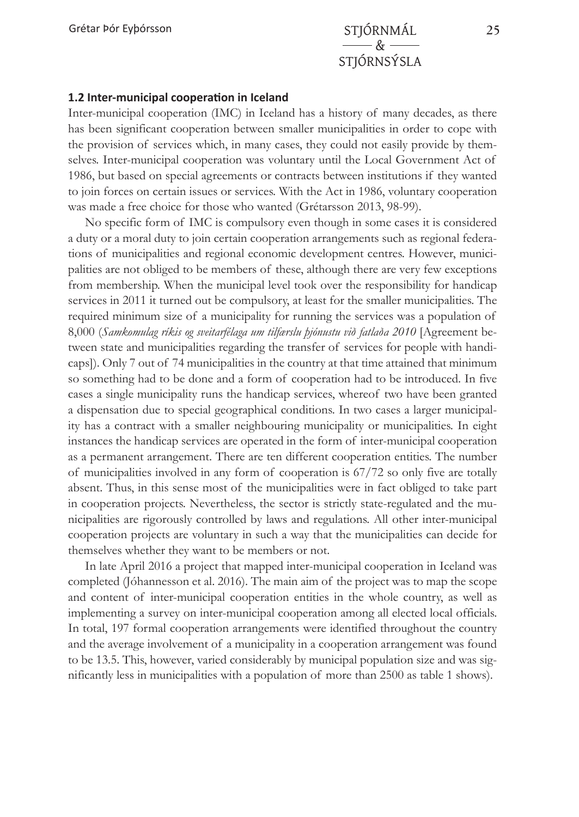#### **1.2 Inter-municipal cooperation in Iceland**

Inter-municipal cooperation (IMC) in Iceland has a history of many decades, as there has been significant cooperation between smaller municipalities in order to cope with the provision of services which, in many cases, they could not easily provide by themselves. Inter-municipal cooperation was voluntary until the Local Government Act of 1986, but based on special agreements or contracts between institutions if they wanted to join forces on certain issues or services. With the Act in 1986, voluntary cooperation was made a free choice for those who wanted (Grétarsson 2013, 98-99).

No specific form of IMC is compulsory even though in some cases it is considered a duty or a moral duty to join certain cooperation arrangements such as regional federations of municipalities and regional economic development centres. However, municipalities are not obliged to be members of these, although there are very few exceptions from membership. When the municipal level took over the responsibility for handicap services in 2011 it turned out be compulsory, at least for the smaller municipalities. The required minimum size of a municipality for running the services was a population of 8,000 (*Samkomulag ríkis og sveitarfélaga um tilfærslu þjónustu við fatlaða 2010* [Agreement between state and municipalities regarding the transfer of services for people with handicaps]). Only 7 out of 74 municipalities in the country at that time attained that minimum so something had to be done and a form of cooperation had to be introduced. In five cases a single municipality runs the handicap services, whereof two have been granted a dispensation due to special geographical conditions. In two cases a larger municipality has a contract with a smaller neighbouring municipality or municipalities. In eight instances the handicap services are operated in the form of inter-municipal cooperation as a permanent arrangement. There are ten different cooperation entities. The number of municipalities involved in any form of cooperation is 67/72 so only five are totally absent. Thus, in this sense most of the municipalities were in fact obliged to take part in cooperation projects. Nevertheless, the sector is strictly state-regulated and the municipalities are rigorously controlled by laws and regulations. All other inter-municipal cooperation projects are voluntary in such a way that the municipalities can decide for themselves whether they want to be members or not.

In late April 2016 a project that mapped inter-municipal cooperation in Iceland was completed (Jóhannesson et al. 2016). The main aim of the project was to map the scope and content of inter-municipal cooperation entities in the whole country, as well as implementing a survey on inter-municipal cooperation among all elected local officials. In total, 197 formal cooperation arrangements were identified throughout the country and the average involvement of a municipality in a cooperation arrangement was found to be 13.5. This, however, varied considerably by municipal population size and was significantly less in municipalities with a population of more than 2500 as table 1 shows).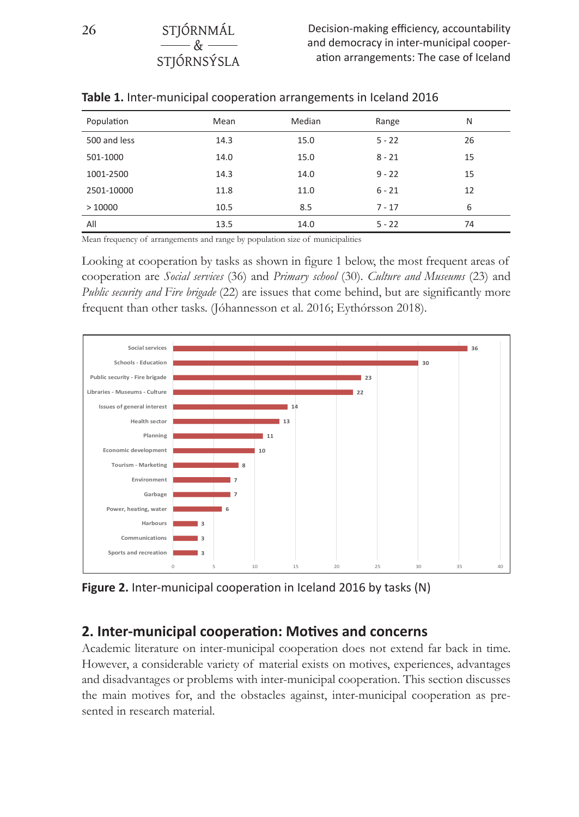Decision-making efficiency, accountability and democracy in inter-municipal cooperation arrangements: The case of Iceland

| Population   | Mean | Median | Range    | N  |
|--------------|------|--------|----------|----|
| 500 and less | 14.3 | 15.0   | $5 - 22$ | 26 |
| 501-1000     | 14.0 | 15.0   | $8 - 21$ | 15 |
| 1001-2500    | 14.3 | 14.0   | $9 - 22$ | 15 |
| 2501-10000   | 11.8 | 11.0   | $6 - 21$ | 12 |
| >10000       | 10.5 | 8.5    | $7 - 17$ | 6  |
| All          | 13.5 | 14.0   | $5 - 22$ | 74 |

| Table 1. Inter-municipal cooperation arrangements in Iceland 2016 |  |  |  |
|-------------------------------------------------------------------|--|--|--|
|-------------------------------------------------------------------|--|--|--|

Mean frequency of arrangements and range by population size of municipalities

 $R_{\rm T}$ **STIÓRNSÝSLA** 

Looking at cooperation by tasks as shown in figure 1 below, the most frequent areas of cooperation are *Social services* (36) and *Primary school* (30). Culture and Museums (23) and *Public security and Fire brigade* (22) are issues that come behind, but are significantly more frequent than other tasks. (Jóhannesson et al. 2016; Eythórsson 2018).  $\mathbb{R}^{1}$  comunication arrangements:



**Figure 2.** Inter-municipal cooperation in Iceland 2016 by tasks (N) **Figure 2.** Inter-municipal cooperation in Iceland 2016 by tasks (N)

#### **2. Inter-municipal cooperation: Motives and concerns**

**2. Inter-municipal cooperation: Motives and concerns** Academic literature on inter-municipal cooperation does not extend far back in time. However, a considerable variety of material exists on motives, experiences, advantages and disadvantages or problems with inter-municipal cooperation. This section discusses sented in research material. the main motives for, and the obstacles against, inter-municipal cooperation as pre-

**26** STJÓRNMÁL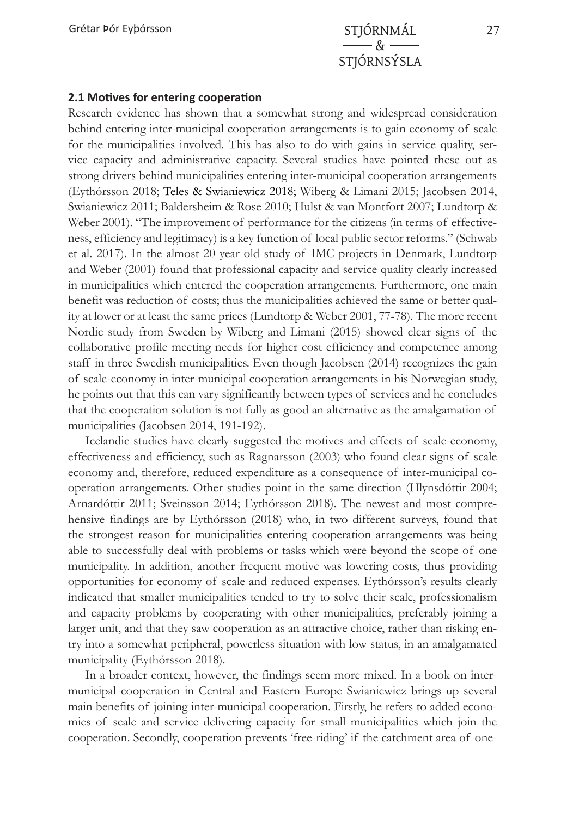#### **2.1 Motives for entering cooperation**

Research evidence has shown that a somewhat strong and widespread consideration behind entering inter-municipal cooperation arrangements is to gain economy of scale for the municipalities involved. This has also to do with gains in service quality, service capacity and administrative capacity. Several studies have pointed these out as strong drivers behind municipalities entering inter-municipal cooperation arrangements (Eythórsson 2018; Teles & Swianiewicz 2018; Wiberg & Limani 2015; Jacobsen 2014, Swianiewicz 2011; Baldersheim & Rose 2010; Hulst & van Montfort 2007; Lundtorp & Weber 2001). "The improvement of performance for the citizens (in terms of effectiveness, efficiency and legitimacy) is a key function of local public sector reforms." (Schwab et al. 2017). In the almost 20 year old study of IMC projects in Denmark, Lundtorp and Weber (2001) found that professional capacity and service quality clearly increased in municipalities which entered the cooperation arrangements. Furthermore, one main benefit was reduction of costs; thus the municipalities achieved the same or better quality at lower or at least the same prices (Lundtorp & Weber 2001, 77-78). The more recent Nordic study from Sweden by Wiberg and Limani (2015) showed clear signs of the collaborative profile meeting needs for higher cost efficiency and competence among staff in three Swedish municipalities. Even though Jacobsen (2014) recognizes the gain of scale-economy in inter-municipal cooperation arrangements in his Norwegian study, he points out that this can vary significantly between types of services and he concludes that the cooperation solution is not fully as good an alternative as the amalgamation of municipalities (Jacobsen 2014, 191-192).

Icelandic studies have clearly suggested the motives and effects of scale-economy, effectiveness and efficiency, such as Ragnarsson (2003) who found clear signs of scale economy and, therefore, reduced expenditure as a consequence of inter-municipal cooperation arrangements. Other studies point in the same direction (Hlynsdóttir 2004; Arnardóttir 2011; Sveinsson 2014; Eythórsson 2018). The newest and most comprehensive findings are by Eythórsson (2018) who, in two different surveys, found that the strongest reason for municipalities entering cooperation arrangements was being able to successfully deal with problems or tasks which were beyond the scope of one municipality. In addition, another frequent motive was lowering costs, thus providing opportunities for economy of scale and reduced expenses. Eythórsson's results clearly indicated that smaller municipalities tended to try to solve their scale, professionalism and capacity problems by cooperating with other municipalities, preferably joining a larger unit, and that they saw cooperation as an attractive choice, rather than risking entry into a somewhat peripheral, powerless situation with low status, in an amalgamated municipality (Eythórsson 2018).

In a broader context, however, the findings seem more mixed. In a book on intermunicipal cooperation in Central and Eastern Europe Swianiewicz brings up several main benefits of joining inter-municipal cooperation. Firstly, he refers to added economies of scale and service delivering capacity for small municipalities which join the cooperation. Secondly, cooperation prevents 'free-riding' if the catchment area of one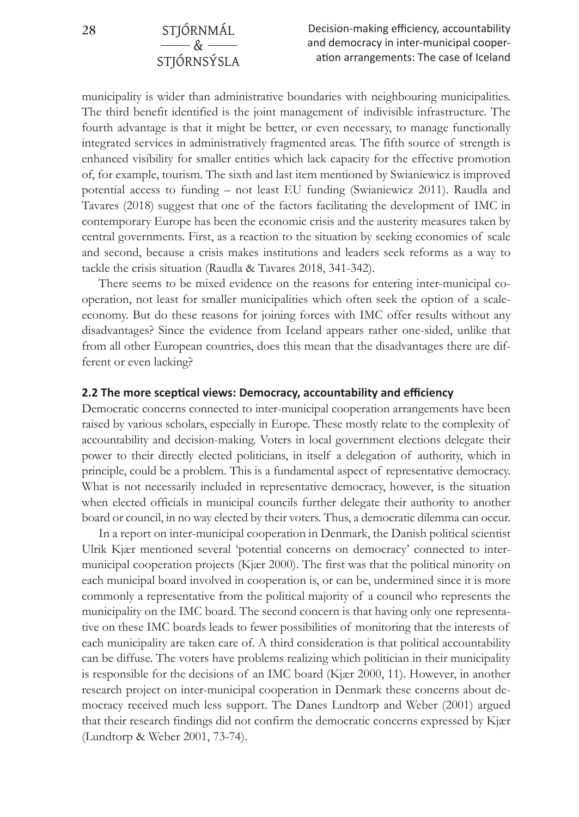municipality is wider than administrative boundaries with neighbouring municipalities. The third benefit identified is the joint management of indivisible infrastructure. The fourth advantage is that it might be better, or even necessary, to manage functionally integrated services in administratively fragmented areas. The fifth source of strength is enhanced visibility for smaller entities which lack capacity for the effective promotion of, for example, tourism. The sixth and last item mentioned by Swianiewicz is improved potential access to funding – not least EU funding (Swianiewicz 2011). Raudla and Tavares (2018) suggest that one of the factors facilitating the development of IMC in contemporary Europe has been the economic crisis and the austerity measures taken by central governments. First, as a reaction to the situation by seeking economies of scale and second, because a crisis makes institutions and leaders seek reforms as a way to tackle the crisis situation (Raudla & Tavares 2018, 341-342).

There seems to be mixed evidence on the reasons for entering inter-municipal cooperation, not least for smaller municipalities which often seek the option of a scaleeconomy. But do these reasons for joining forces with IMC offer results without any disadvantages? Since the evidence from Iceland appears rather one-sided, unlike that from all other European countries, does this mean that the disadvantages there are different or even lacking?

#### **2.2 The more sceptical views: Democracy, accountability and efficiency**

Democratic concerns connected to inter-municipal cooperation arrangements have been raised by various scholars, especially in Europe. These mostly relate to the complexity of accountability and decision-making. Voters in local government elections delegate their power to their directly elected politicians, in itself a delegation of authority, which in principle, could be a problem. This is a fundamental aspect of representative democracy. What is not necessarily included in representative democracy, however, is the situation when elected officials in municipal councils further delegate their authority to another board or council, in no way elected by their voters. Thus, a democratic dilemma can occur.

In a report on inter-municipal cooperation in Denmark, the Danish political scientist Ulrik Kjær mentioned several 'potential concerns on democracy' connected to intermunicipal cooperation projects (Kjær 2000). The first was that the political minority on each municipal board involved in cooperation is, or can be, undermined since it is more commonly a representative from the political majority of a council who represents the municipality on the IMC board. The second concern is that having only one representative on these IMC boards leads to fewer possibilities of monitoring that the interests of each municipality are taken care of. A third consideration is that political accountability can be diffuse. The voters have problems realizing which politician in their municipality is responsible for the decisions of an IMC board (Kjær 2000, 11). However, in another research project on inter-municipal cooperation in Denmark these concerns about democracy received much less support. The Danes Lundtorp and Weber (2001) argued that their research findings did not confirm the democratic concerns expressed by Kjær (Lundtorp & Weber 2001, 73-74).

 $-8$ STJÓRNSÝSLA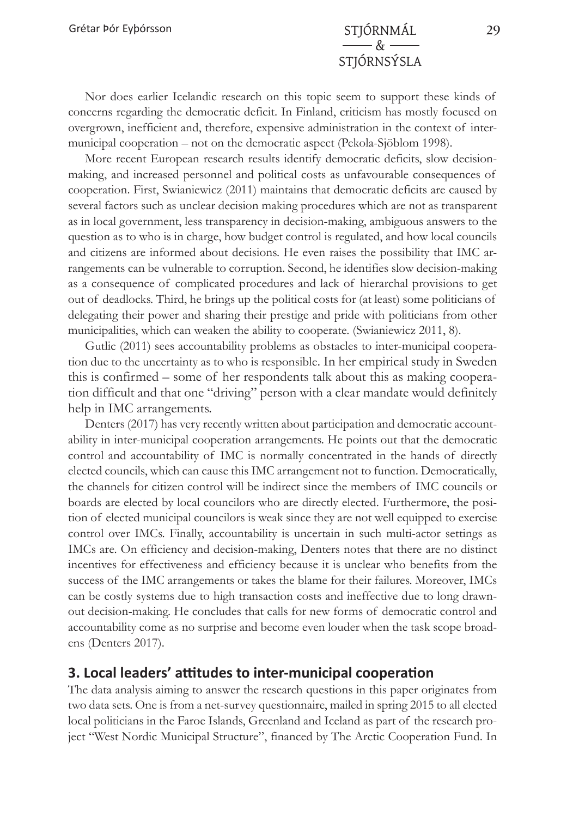Nor does earlier Icelandic research on this topic seem to support these kinds of concerns regarding the democratic deficit. In Finland, criticism has mostly focused on overgrown, inefficient and, therefore, expensive administration in the context of intermunicipal cooperation – not on the democratic aspect (Pekola-Sjöblom 1998).

More recent European research results identify democratic deficits, slow decisionmaking, and increased personnel and political costs as unfavourable consequences of cooperation. First, Swianiewicz (2011) maintains that democratic deficits are caused by several factors such as unclear decision making procedures which are not as transparent as in local government, less transparency in decision-making, ambiguous answers to the question as to who is in charge, how budget control is regulated, and how local councils and citizens are informed about decisions. He even raises the possibility that IMC arrangements can be vulnerable to corruption. Second, he identifies slow decision-making as a consequence of complicated procedures and lack of hierarchal provisions to get out of deadlocks. Third, he brings up the political costs for (at least) some politicians of delegating their power and sharing their prestige and pride with politicians from other municipalities, which can weaken the ability to cooperate. (Swianiewicz 2011, 8).

Gutlic (2011) sees accountability problems as obstacles to inter-municipal cooperation due to the uncertainty as to who is responsible. In her empirical study in Sweden this is confirmed – some of her respondents talk about this as making cooperation difficult and that one "driving" person with a clear mandate would definitely help in IMC arrangements.

Denters (2017) has very recently written about participation and democratic accountability in inter-municipal cooperation arrangements. He points out that the democratic control and accountability of IMC is normally concentrated in the hands of directly elected councils, which can cause this IMC arrangement not to function. Democratically, the channels for citizen control will be indirect since the members of IMC councils or boards are elected by local councilors who are directly elected. Furthermore, the position of elected municipal councilors is weak since they are not well equipped to exercise control over IMCs. Finally, accountability is uncertain in such multi-actor settings as IMCs are. On efficiency and decision-making, Denters notes that there are no distinct incentives for effectiveness and efficiency because it is unclear who benefits from the success of the IMC arrangements or takes the blame for their failures. Moreover, IMCs can be costly systems due to high transaction costs and ineffective due to long drawnout decision-making. He concludes that calls for new forms of democratic control and accountability come as no surprise and become even louder when the task scope broadens (Denters 2017).

## **3. Local leaders' attitudes to inter-municipal cooperation**

The data analysis aiming to answer the research questions in this paper originates from two data sets. One is from a net-survey questionnaire, mailed in spring 2015 to all elected local politicians in the Faroe Islands, Greenland and Iceland as part of the research project "West Nordic Municipal Structure", financed by The Arctic Cooperation Fund. In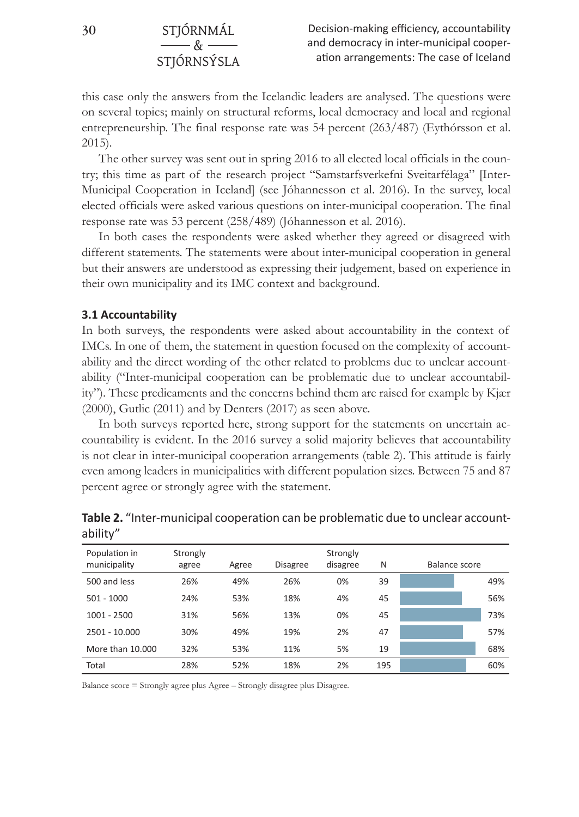## $-\kappa$ STJÓRNSÝSLA

this case only the answers from the Icelandic leaders are analysed. The questions were on several topics; mainly on structural reforms, local democracy and local and regional entrepreneurship. The final response rate was 54 percent (263/487) (Eythórsson et al. 2015).

The other survey was sent out in spring 2016 to all elected local officials in the country; this time as part of the research project "Samstarfsverkefni Sveitarfélaga" [Inter-Municipal Cooperation in Iceland] (see Jóhannesson et al. 2016). In the survey, local elected officials were asked various questions on inter-municipal cooperation. The final response rate was 53 percent (258/489) (Jóhannesson et al. 2016).

In both cases the respondents were asked whether they agreed or disagreed with different statements. The statements were about inter-municipal cooperation in general but their answers are understood as expressing their judgement, based on experience in their own municipality and its IMC context and background.

#### **3.1 Accountability**

In both surveys, the respondents were asked about accountability in the context of IMCs. In one of them, the statement in question focused on the complexity of accountability and the direct wording of the other related to problems due to unclear accountability ("Inter-municipal cooperation can be problematic due to unclear accountability"). These predicaments and the concerns behind them are raised for example by Kjær (2000), Gutlic (2011) and by Denters (2017) as seen above.

In both surveys reported here, strong support for the statements on uncertain accountability is evident. In the 2016 survey a solid majority believes that accountability is not clear in inter-municipal cooperation arrangements (table 2). This attitude is fairly even among leaders in municipalities with different population sizes. Between 75 and 87 percent agree or strongly agree with the statement.

| Population in<br>municipality | Strongly<br>agree | Agree | <b>Disagree</b> | Strongly<br>disagree | N   | Balance score |     |
|-------------------------------|-------------------|-------|-----------------|----------------------|-----|---------------|-----|
| 500 and less                  | 26%               | 49%   | 26%             | 0%                   | 39  |               | 49% |
| $501 - 1000$                  | 24%               | 53%   | 18%             | 4%                   | 45  |               | 56% |
| $1001 - 2500$                 | 31%               | 56%   | 13%             | 0%                   | 45  |               | 73% |
| 2501 - 10.000                 | 30%               | 49%   | 19%             | 2%                   | 47  |               | 57% |
| More than 10,000              | 32%               | 53%   | 11%             | 5%                   | 19  |               | 68% |
| Total                         | 28%               | 52%   | 18%             | 2%                   | 195 |               | 60% |

**Table 2.** "Inter-municipal cooperation can be problematic due to unclear accountability"

Balance score = Strongly agree plus Agree – Strongly disagree plus Disagree.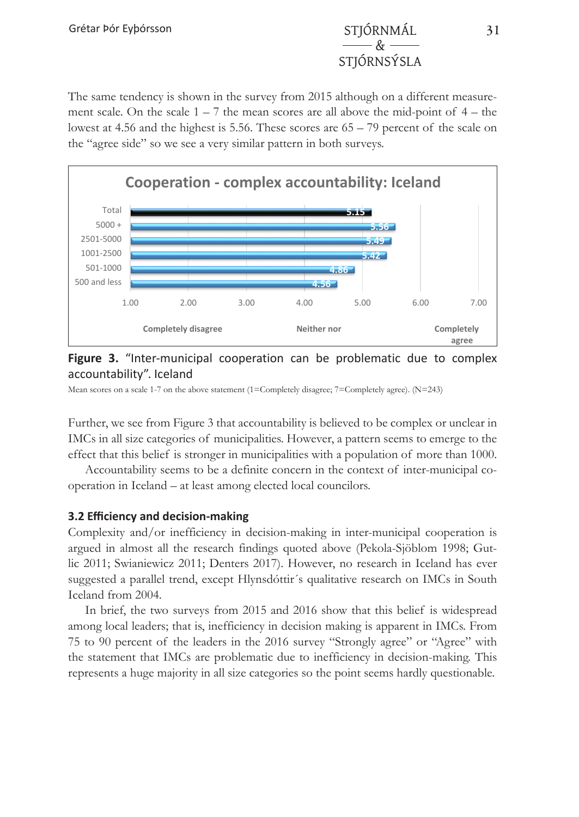## $\mathcal{Q}_{\pm}$ STJÓRNSÝSLA

The same tendency is shown in the survey from 2015 although on a different measurement scale. On the scale  $1 - 7$  the mean scores are all above the mid-point of  $4 -$  the lowest at 4.56 and the highest is 5.56. These scores are  $65 - 79$  percent of the scale on the "agree side" so we see a very similar pattern in both surveys.



#### **Figure 3. <b>A**  $\blacksquare$  inter-municipal cooperation can be problematic due to complex  $\blacksquare$  and  $\blacksquare$  and  $\blacksquare$  and  $\blacksquare$  and  $\blacksquare$  and  $\blacksquare$  and  $\blacksquare$  and  $\blacksquare$  and  $\blacksquare$  and  $\blacksquare$  and  $\blacksquare$  and  $\blacksquare$  and  $\blacksquare$ **Figure 3.** "Inter-municipal cooperation can be problematic due to complex

Mean scores on a scale 1-7 on the above statement (1=Completely disagree; 7=Completely agree). (N=243)

IMCs in all size categories of municipalities. However, a pattern seems to emerge to the effect that this belief is stronger in municipalities with a population of more than 1000. Further, we see from Figure 3 that accountability is believed to be complex or unclear in

operation in Iceland – at least among elected local councilors. Accountability seems to be a definite concern in the context of inter-municipal co-

## **3.2 Efficiency and decision-making** <br> **3.2 Efficiency and decision-making**

lic 2011; Swianiewicz 2011; Denters 2017). However, no research in Iceland has ever suggested a parallel trend, except Hlynsdóttir´s qualitative research on IMCs in South<br>Jeoland from 2004 Complexity and/or inefficiency in decision-making in inter-municipal cooperation is argued in almost all the research findings quoted above (Pekola-Sjöblom 1998; Gut-Iceland from 2004.

In brief, the two surveys from 2015 and 2016 show that this belief is widespread among local leaders; that is, inefficiency in decision making is apparent in IMCs. From the statement that IMCs are problematic due to inefficiency in decision-making. This represents a huge majority in all size categories so the point seems hardly questionable. 75 to 90 percent of the leaders in the 2016 survey "Strongly agree" or "Agree" with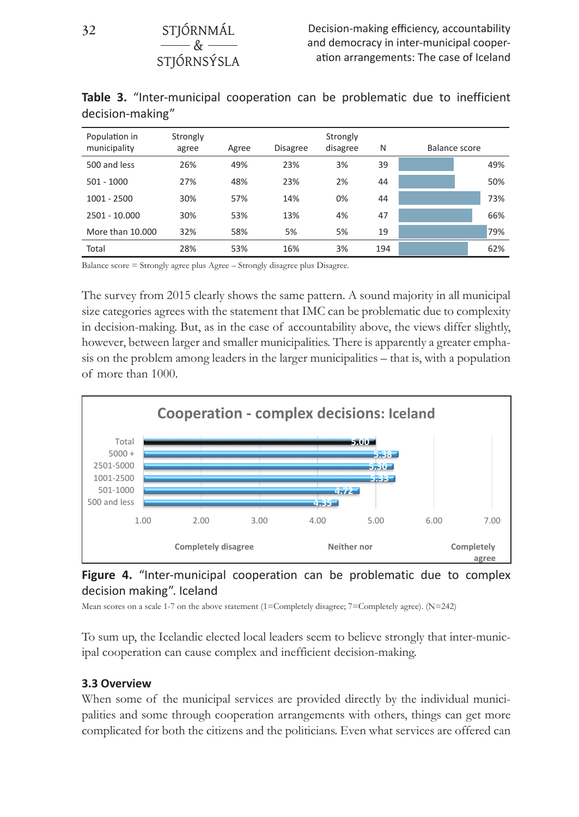| Population in<br>municipality | Strongly<br>agree | Agree | <b>Disagree</b> | Strongly<br>disagree | N   | Balance score |     |
|-------------------------------|-------------------|-------|-----------------|----------------------|-----|---------------|-----|
| 500 and less                  | 26%               | 49%   | 23%             | 3%                   | 39  |               | 49% |
| $501 - 1000$                  | 27%               | 48%   | 23%             | 2%                   | 44  |               | 50% |
| $1001 - 2500$                 | 30%               | 57%   | 14%             | 0%                   | 44  |               | 73% |
| 2501 - 10.000                 | 30%               | 53%   | 13%             | 4%                   | 47  |               | 66% |
| More than 10,000              | 32%               | 58%   | 5%              | 5%                   | 19  |               | 79% |
| Total                         | 28%               | 53%   | 16%             | 3%                   | 194 |               | 62% |

**Table 3.** "Inter-municipal cooperation can be problematic due to inefficient decision-making" agree Agree Agree Disagree Strongly (Agree Strongly Agree N Balance score N Balance score N Balance Strongly A<br>Agree N Balance score N Balance Strongly Agree N Balance Strongly Agree Strongly Agree Strongly Agree Strongly 500 and less 26% 49% 23% 3% 39 **49%**

Balance score = Strongly agree plus Agree – Strongly disagree plus Disagree.  $s_{\alpha}$  and  $s_{\alpha}$  are problematic due to complex that IMC can be problematic due to complexity due to complexity due to complexity due to complexity due to complexity due to complexity due to complexity due to complexit

&

STJÓRNSÝSLA

The survey from 2015 clearly shows the same pattern. A sound majority in all municipal size categories agrees with the statement that IMC can be problematic due to complexity in decision-making. But, as in the case of accountability above, the views differ slightly, however, between larger and smaller municipalities. There is apparently a greater emphasis on the problem among leaders in the larger municipalities - that is, with a population of more than 1000.



#### decision making". Iceland complex decision can be problematic due to complex decision can be problematic due to complex decision can be problematic due to control of the problematic due to complex due to control of the pro **Figure 4.** "Inter-municipal cooperation can be problematic due to complex

Mean scores on a scale 1-7 on the above statement (1=Completely disagree; 7=Completely agree). (N=242)

ipal cooperation can cause complex and inefficient decision-making. To sum up, the Icelandic elected local leaders seem to believe strongly that inter-munic-

## cooperation can cause complex and inefficient decision-making. **3.3 Overview**

When some of the municipal services are provided directly by the individual municipalities and some through cooperation arrangements with others, things can get more complicated for both the citizens and the politicians. Even what services are offered can

**32** STJÓRNMÁL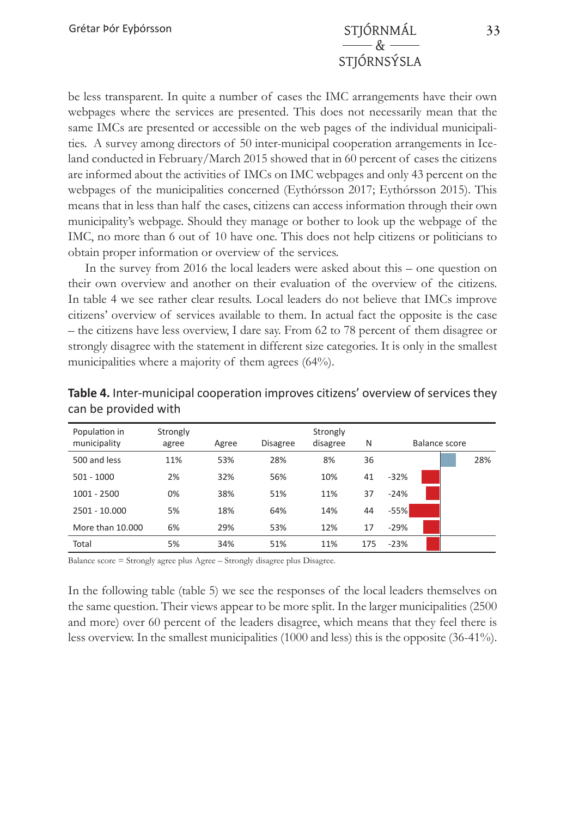## $-\mathcal{R}_{\mathbf{\Sigma}}$ STJÓRNSÝSLA

be less transparent. In quite a number of cases the IMC arrangements have their own webpages where the services are presented. This does not necessarily mean that the same IMCs are presented or accessible on the web pages of the individual municipalities. A survey among directors of 50 inter-municipal cooperation arrangements in Iceland conducted in February/March 2015 showed that in 60 percent of cases the citizens are informed about the activities of IMCs on IMC webpages and only 43 percent on the webpages of the municipalities concerned (Eythórsson 2017; Eythórsson 2015). This means that in less than half the cases, citizens can access information through their own municipality's webpage. Should they manage or bother to look up the webpage of the IMC, no more than 6 out of 10 have one. This does not help citizens or politicians to obtain proper information or overview of the services.

In the survey from 2016 the local leaders were asked about this – one question on their own overview and another on their evaluation of the overview of the citizens. In table 4 we see rather clear results. Local leaders do not believe that IMCs improve citizens' overview of services available to them. In actual fact the opposite is the case – the citizens have less overview, I dare say. From 62 to 78 percent of them disagree or strongly disagree with the statement in different size categories. It is only in the smallest municipalities where a majority of them agrees (64%).

| Population in<br>municipality | Strongly<br>agree | Agree | <b>Disagree</b> | Strongly<br>disagree | N   |        | Balance score |     |
|-------------------------------|-------------------|-------|-----------------|----------------------|-----|--------|---------------|-----|
| 500 and less                  | 11%               | 53%   | 28%             | 8%                   | 36  |        |               | 28% |
| $501 - 1000$                  | 2%                | 32%   | 56%             | 10%                  | 41  | $-32%$ |               |     |
| $1001 - 2500$                 | 0%                | 38%   | 51%             | 11%                  | 37  | $-24%$ |               |     |
| 2501 - 10.000                 | 5%                | 18%   | 64%             | 14%                  | 44  | $-55%$ |               |     |
| More than 10.000              | 6%                | 29%   | 53%             | 12%                  | 17  | $-29%$ |               |     |
| Total                         | 5%                | 34%   | 51%             | 11%                  | 175 | $-23%$ |               |     |

**Table 4.** Inter-municipal cooperation improves citizens' overview of services they can be provided with

Balance score = Strongly agree plus Agree – Strongly disagree plus Disagree.

In the following table (table 5) we see the responses of the local leaders themselves on the same question. Their views appear to be more split. In the larger municipalities (2500 and more) over 60 percent of the leaders disagree, which means that they feel there is less overview. In the smallest municipalities (1000 and less) this is the opposite (36-41%).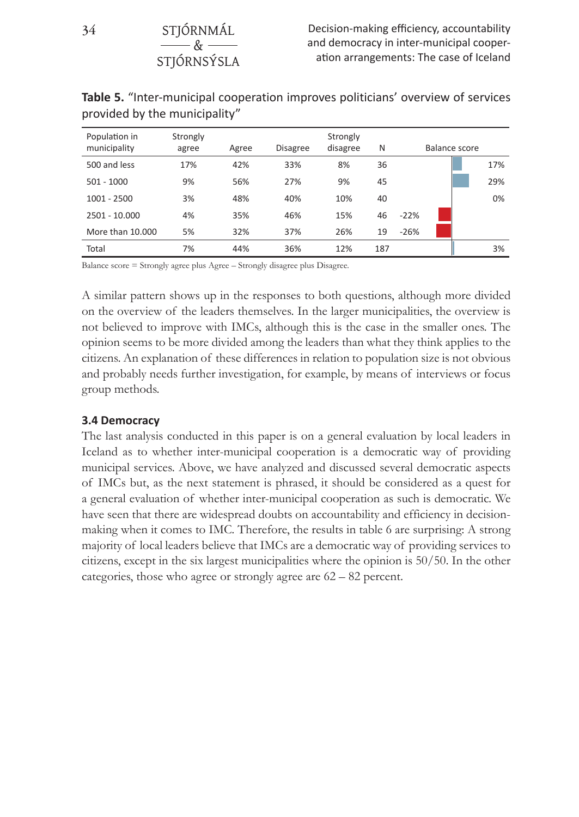| Population in<br>municipality | Strongly<br>agree | Agree | <b>Disagree</b> | Strongly<br>disagree | N   |        | Balance score |     |
|-------------------------------|-------------------|-------|-----------------|----------------------|-----|--------|---------------|-----|
| 500 and less                  | 17%               | 42%   | 33%             | 8%                   | 36  |        |               | 17% |
| $501 - 1000$                  | 9%                | 56%   | 27%             | 9%                   | 45  |        |               | 29% |
| $1001 - 2500$                 | 3%                | 48%   | 40%             | 10%                  | 40  |        |               | 0%  |
| $2501 - 10.000$               | 4%                | 35%   | 46%             | 15%                  | 46  | $-22%$ |               |     |
| More than 10,000              | 5%                | 32%   | 37%             | 26%                  | 19  | $-26%$ |               |     |
| Total                         | 7%                | 44%   | 36%             | 12%                  | 187 |        |               | 3%  |

**Table 5.** "Inter-municipal cooperation improves politicians' overview of services provided by the municipality"

Balance score = Strongly agree plus Agree – Strongly disagree plus Disagree.

A similar pattern shows up in the responses to both questions, although more divided on the overview of the leaders themselves. In the larger municipalities, the overview is not believed to improve with IMCs, although this is the case in the smaller ones. The opinion seems to be more divided among the leaders than what they think applies to the citizens. An explanation of these differences in relation to population size is not obvious and probably needs further investigation, for example, by means of interviews or focus group methods.

#### **3.4 Democracy**

The last analysis conducted in this paper is on a general evaluation by local leaders in Iceland as to whether inter-municipal cooperation is a democratic way of providing municipal services. Above, we have analyzed and discussed several democratic aspects of IMCs but, as the next statement is phrased, it should be considered as a quest for a general evaluation of whether inter-municipal cooperation as such is democratic. We have seen that there are widespread doubts on accountability and efficiency in decisionmaking when it comes to IMC. Therefore, the results in table 6 are surprising: A strong majority of local leaders believe that IMCs are a democratic way of providing services to citizens, except in the six largest municipalities where the opinion is 50/50. In the other categories, those who agree or strongly agree are 62 – 82 percent.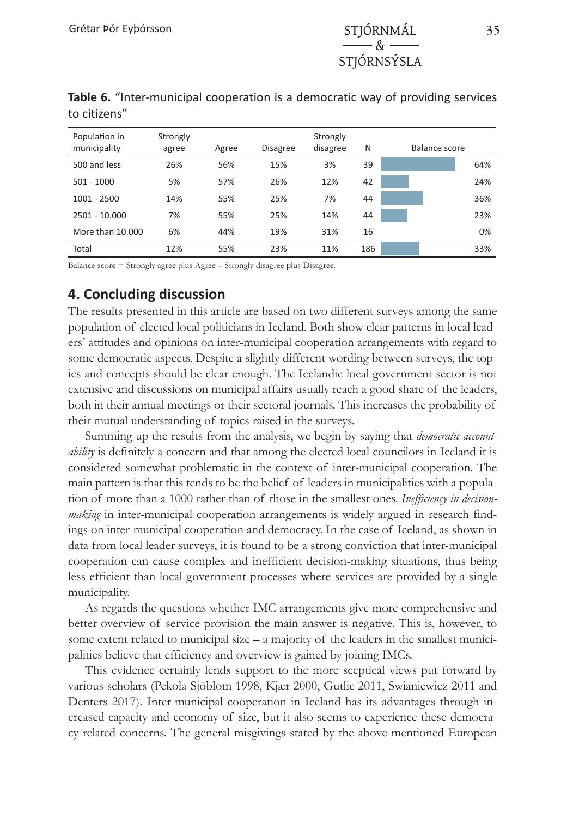| Population in<br>municipality | Strongly<br>agree | Agree | <b>Disagree</b> | Strongly<br>disagree | N   | Balance score |
|-------------------------------|-------------------|-------|-----------------|----------------------|-----|---------------|
| 500 and less                  | 26%               | 56%   | 15%             | 3%                   | 39  | 64%           |
| $501 - 1000$                  | 5%                | 57%   | 26%             | 12%                  | 42  | 24%           |
| $1001 - 2500$                 | 14%               | 55%   | 25%             | 7%                   | 44  | 36%           |
| 2501 - 10.000                 | 7%                | 55%   | 25%             | 14%                  | 44  | 23%           |
| More than 10,000              | 6%                | 44%   | 19%             | 31%                  | 16  | 0%            |
| Total                         | 12%               | 55%   | 23%             | 11%                  | 186 | 33%           |

**Table 6.** "Inter-municipal cooperation is a democratic way of providing services to citizens"

Balance score = Strongly agree plus Agree – Strongly disagree plus Disagree.

#### **4. Concluding discussion**

The results presented in this article are based on two different surveys among the same population of elected local politicians in Iceland. Both show clear patterns in local leaders' attitudes and opinions on inter-municipal cooperation arrangements with regard to some democratic aspects. Despite a slightly different wording between surveys, the topics and concepts should be clear enough. The Icelandic local government sector is not extensive and discussions on municipal affairs usually reach a good share of the leaders, both in their annual meetings or their sectoral journals. This increases the probability of their mutual understanding of topics raised in the surveys.

Summing up the results from the analysis, we begin by saying that *democratic accountability* is definitely a concern and that among the elected local councilors in Iceland it is considered somewhat problematic in the context of inter-municipal cooperation. The main pattern is that this tends to be the belief of leaders in municipalities with a population of more than a 1000 rather than of those in the smallest ones. *Inefficiency in decisionmaking* in inter-municipal cooperation arrangements is widely argued in research findings on inter-municipal cooperation and democracy. In the case of Iceland, as shown in data from local leader surveys, it is found to be a strong conviction that inter-municipal cooperation can cause complex and inefficient decision-making situations, thus being less efficient than local government processes where services are provided by a single municipality.

As regards the questions whether IMC arrangements give more comprehensive and better overview of service provision the main answer is negative. This is, however, to some extent related to municipal size  $-$  a majority of the leaders in the smallest municipalities believe that efficiency and overview is gained by joining IMCs.

This evidence certainly lends support to the more sceptical views put forward by various scholars (Pekola-Sjöblom 1998, Kjær 2000, Gutlic 2011, Swianiewicz 2011 and Denters 2017). Inter-municipal cooperation in Iceland has its advantages through increased capacity and economy of size, but it also seems to experience these democracy-related concerns. The general misgivings stated by the above-mentioned European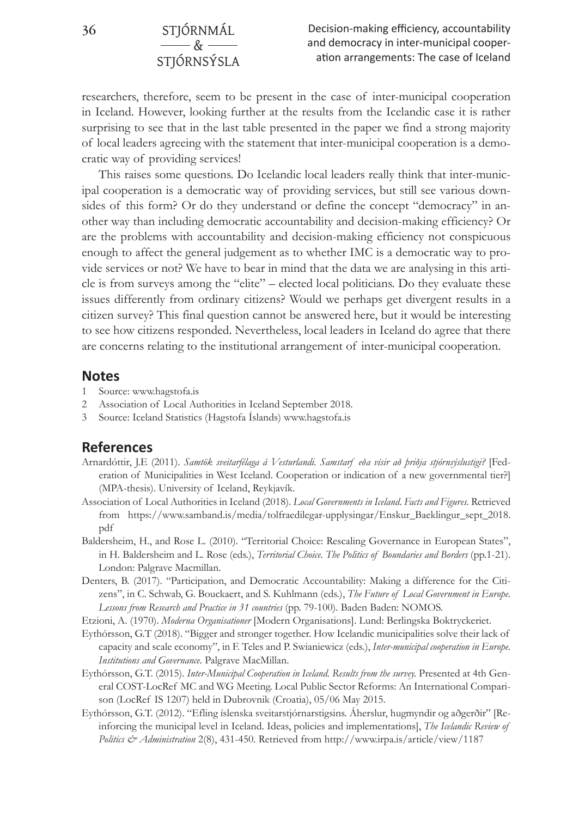### **36** STJÓRNMÁL  $-\mathcal{R}_{\mathbf{r}}$ STJÓRNSÝSLA

researchers, therefore, seem to be present in the case of inter-municipal cooperation in Iceland. However, looking further at the results from the Icelandic case it is rather surprising to see that in the last table presented in the paper we find a strong majority of local leaders agreeing with the statement that inter-municipal cooperation is a democratic way of providing services!

This raises some questions. Do Icelandic local leaders really think that inter-municipal cooperation is a democratic way of providing services, but still see various downsides of this form? Or do they understand or define the concept "democracy" in another way than including democratic accountability and decision-making efficiency? Or are the problems with accountability and decision-making efficiency not conspicuous enough to affect the general judgement as to whether IMC is a democratic way to provide services or not? We have to bear in mind that the data we are analysing in this article is from surveys among the "elite" – elected local politicians. Do they evaluate these issues differently from ordinary citizens? Would we perhaps get divergent results in a citizen survey? This final question cannot be answered here, but it would be interesting to see how citizens responded. Nevertheless, local leaders in Iceland do agree that there are concerns relating to the institutional arrangement of inter-municipal cooperation.

#### **Notes**

- 1 Source: www.hagstofa.is
- 2 Association of Local Authorities in Iceland September 2018.
- 3 Source: Iceland Statistics (Hagstofa Íslands) www.hagstofa.is

#### **References**

- Arnardóttir, J.E (2011). *Samtök sveitarfélaga á Vesturlandi. Samstarf eða vísir að þriðja stjórnsýslustigi?* [Federation of Municipalities in West Iceland. Cooperation or indication of a new governmental tier?] (MPA-thesis). University of Iceland, Reykjavík.
- Association of Local Authorities in Iceland (2018). *Local Governments in Iceland. Facts and Figures.* Retrieved from https://www.samband.is/media/tolfraedilegar-upplysingar/Enskur\_Baeklingur\_sept\_2018. pdf
- Baldersheim, H., and Rose L. (2010). "Territorial Choice: Rescaling Governance in European States", in H. Baldersheim and L. Rose (eds.), *Territorial Choice. The Politics of Boundaries and Borders* (pp.1-21). London: Palgrave Macmillan.
- Denters, B. (2017). "Participation, and Democratic Accountability: Making a difference for the Citizens", in C. Schwab, G. Bouckaert, and S. Kuhlmann (eds.), *The Future of Local Government in Europe. Lessons from Research and Practice in 31 countries* (pp. 79-100). Baden Baden: NOMOS.
- Etzioni, A. (1970). *Moderna Organisationer* [Modern Organisations]. Lund: Berlingska Boktryckeriet.
- Eythórsson, G.T (2018). "Bigger and stronger together. How Icelandic municipalities solve their lack of capacity and scale economy", in F. Teles and P. Swianiewicz (eds.), *Inter-municipal cooperation in Europe. Institutions and Governance.* Palgrave MacMillan.
- Eythórsson, G.T. (2015). *Inter-Municipal Cooperation in Iceland. Results from the survey.* Presented at 4th General COST-LocRef MC and WG Meeting. Local Public Sector Reforms: An International Comparison (LocRef IS 1207) held in Dubrovnik (Croatia), 05/06 May 2015.
- Eythórsson, G.T. (2012). "Efling íslenska sveitarstjórnarstigsins. Áherslur, hugmyndir og aðgerðir" [Reinforcing the municipal level in Iceland. Ideas, policies and implementations], *The Icelandic Review of Politics & Administration* 2(8), 431-450. Retrieved from http://www.irpa.is/article/view/1187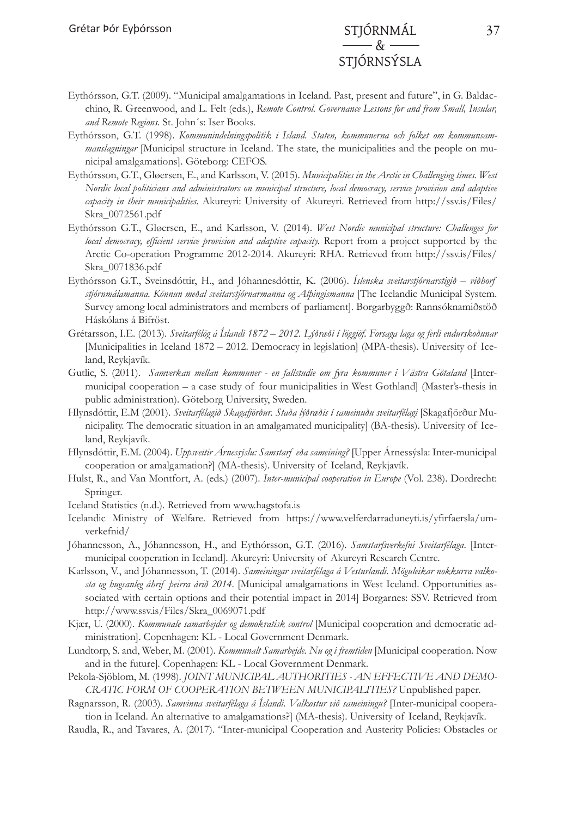## & STJÓRNSÝSLA

- Eythórsson, G.T. (2009). "Municipal amalgamations in Iceland. Past, present and future", in G. Baldacchino, R. Greenwood, and L. Felt (eds.), *Remote Control. Governance Lessons for and from Small, Insular, and Remote Regions.* St. John´s: Iser Books.
- Eythórsson, G.T. (1998). *Kommunindelningspolitik i Island. Staten, kommunerna och folket om kommunsammanslagningar* [Municipal structure in Iceland. The state, the municipalities and the people on municipal amalgamations]. Göteborg: CEFOS.
- Eythórsson, G.T., Gløersen, E., and Karlsson, V. (2015). *Municipalities in the Arctic in Challenging times. West Nordic local politicians and administrators on municipal structure, local democracy, service provision and adaptive capacity in their municipalities*. Akureyri: University of Akureyri. Retrieved from http://ssv.is/Files/ Skra\_0072561.pdf
- Eythórsson G.T., Gløersen, E., and Karlsson, V. (2014). *West Nordic municipal structure: Challenges for local democracy, efficient service provision and adaptive capacity.* Report from a project supported by the Arctic Co-operation Programme 2012-2014. Akureyri: RHA. Retrieved from http://ssv.is/Files/ Skra\_0071836.pdf
- Eythórsson G.T., Sveinsdóttir, H., and Jóhannesdóttir, K. (2006). *Íslenska sveitarstjórnarstigið viðhorf stjórnmálamanna. Könnun meðal sveitarstjórnarmanna og Alþingismanna* [The Icelandic Municipal System. Survey among local administrators and members of parliament]*.* Borgarbyggð: Rannsóknamiðstöð Háskólans á Bifröst.
- Grétarsson, I.E. (2013). *Sveitarfélög á Íslandi 1872 2012. Lýðræði í löggjöf. Forsaga laga og ferli endurskoðunar*  [Municipalities in Iceland 1872 – 2012. Democracy in legislation] (MPA-thesis). University of Iceland, Reykjavík.
- Gutlic, S. (2011). *Samverkan mellan kommuner en fallstudie om fyra kommuner i Västra Götaland* [Intermunicipal cooperation – a case study of four municipalities in West Gothland] (Master's-thesis in public administration). Göteborg University, Sweden.
- Hlynsdóttir, E.M (2001). *Sveitarfélagið Skagafjörður. Staða lýðræðis í sameinuðu sveitarfélagi* [Skagafjörður Municipality. The democratic situation in an amalgamated municipality] (BA-thesis). University of Iceland, Reykjavík.
- Hlynsdóttir, E.M. (2004). *Uppsveitir Árnessýslu: Samstarf eða sameining?* [Upper Árnessýsla: Inter-municipal cooperation or amalgamation?] (MA-thesis). University of Iceland, Reykjavík.
- Hulst, R., and Van Montfort, A. (eds.) (2007). *Inter-municipal cooperation in Europe* (Vol. 238). Dordrecht: Springer.
- Iceland Statistics (n.d.). Retrieved from www.hagstofa.is
- Icelandic Ministry of Welfare. Retrieved from [https://www.velferdarraduneyti.is/yfirfaersla/um](https://www.velferdarraduneyti.is/yfirfaersla/um-verkefnid/)[verkefnid/](https://www.velferdarraduneyti.is/yfirfaersla/um-verkefnid/)
- Jóhannesson, A., Jóhannesson, H., and Eythórsson, G.T. (2016). *Samstarfsverkefni Sveitarfélaga*. [Intermunicipal cooperation in Iceland]. Akureyri: University of Akureyri Research Centre.
- Karlsson, V., and Jóhannesson, T. (2014). *Sameiningar sveitarfélaga á Vesturlandi. Möguleikar nokkurra valkosta og hugsanleg áhrif þeirra árið 2014*. [Municipal amalgamations in West Iceland. Opportunities associated with certain options and their potential impact in 2014] Borgarnes: SSV. Retrieved from http://www.ssv.is/Files/Skra\_0069071.pdf
- Kjær, U. (2000). *Kommunale samarbejder og demokratisk control* [Municipal cooperation and democratic administration]. Copenhagen: KL - Local Government Denmark.
- Lundtorp, S. and, Weber, M. (2001). *Kommunalt Samarbejde. Nu og i fremtiden* [Municipal cooperation. Now and in the future]*.* Copenhagen: KL - Local Government Denmark.
- Pekola-Sjöblom, M. (1998). *JOINT MUNICIPAL AUTHORITIES AN EFFECTIVE AND DEMO-CRATIC FORM OF COOPERATION BETWEEN MUNICIPALITIES?* Unpublished paper.
- Ragnarsson, R. (2003). *Samvinna sveitarfélaga á Íslandi. Valkostur við sameiningu?* [Inter-municipal cooperation in Iceland. An alternative to amalgamations?] (MA-thesis). University of Iceland, Reykjavík.
- Raudla, R., and Tavares, A. (2017). "Inter-municipal Cooperation and Austerity Policies: Obstacles or